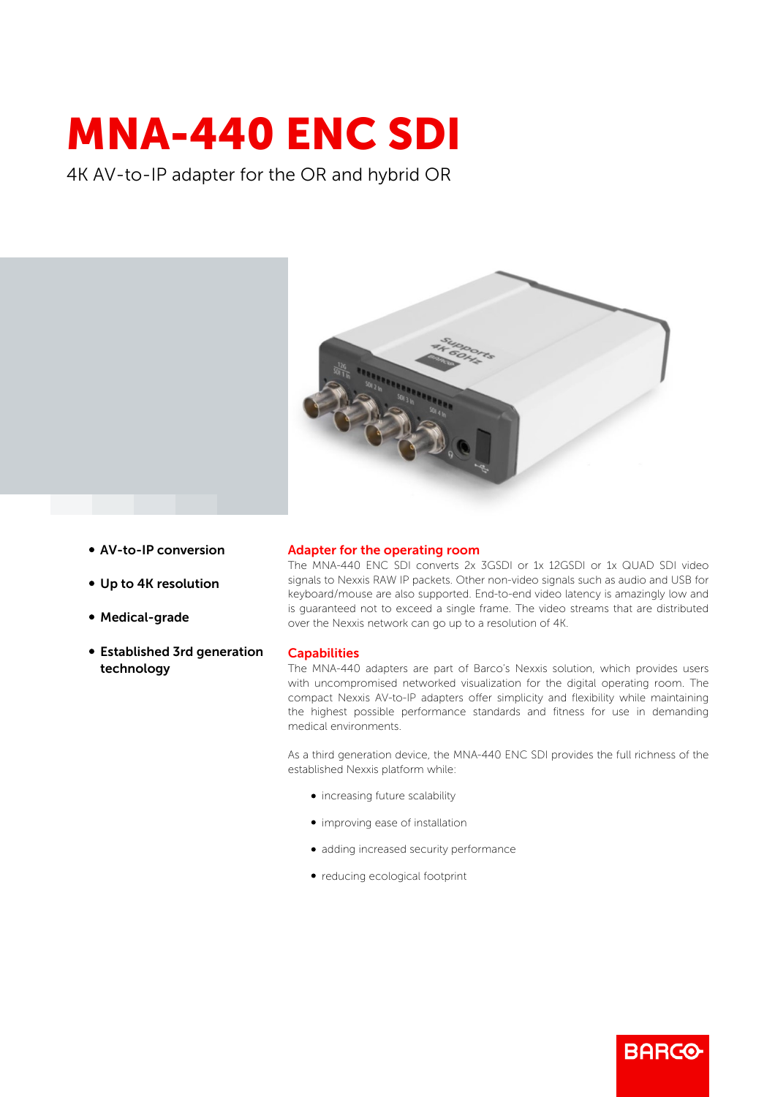## MNA-440 ENC SDI

4K AV-to-IP adapter for the OR and hybrid OR



- AV-to-IP conversion
- Up to 4K resolution
- Medical-grade
- **Established 3rd generation** technology

## Adapter for the operating room

The MNA-440 ENC SDI converts 2x 3GSDI or 1x 12GSDI or 1x QUAD SDI video signals to Nexxis RAW IP packets. Other non-video signals such as audio and USB for keyboard/mouse are also supported. End-to-end video latency is amazingly low and is guaranteed not to exceed a single frame. The video streams that are distributed over the Nexxis network can go up to a resolution of 4K.

## **Capabilities**

The MNA-440 adapters are part of Barco's Nexxis solution, which provides users with uncompromised networked visualization for the digital operating room. The compact Nexxis AV-to-IP adapters offer simplicity and flexibility while maintaining the highest possible performance standards and fitness for use in demanding medical environments.

As a third generation device, the MNA-440 ENC SDI provides the full richness of the established Nexxis platform while:

**BARGO** 

- increasing future scalability
- $\bullet$  improving ease of installation
- adding increased security performance
- reducing ecological footprint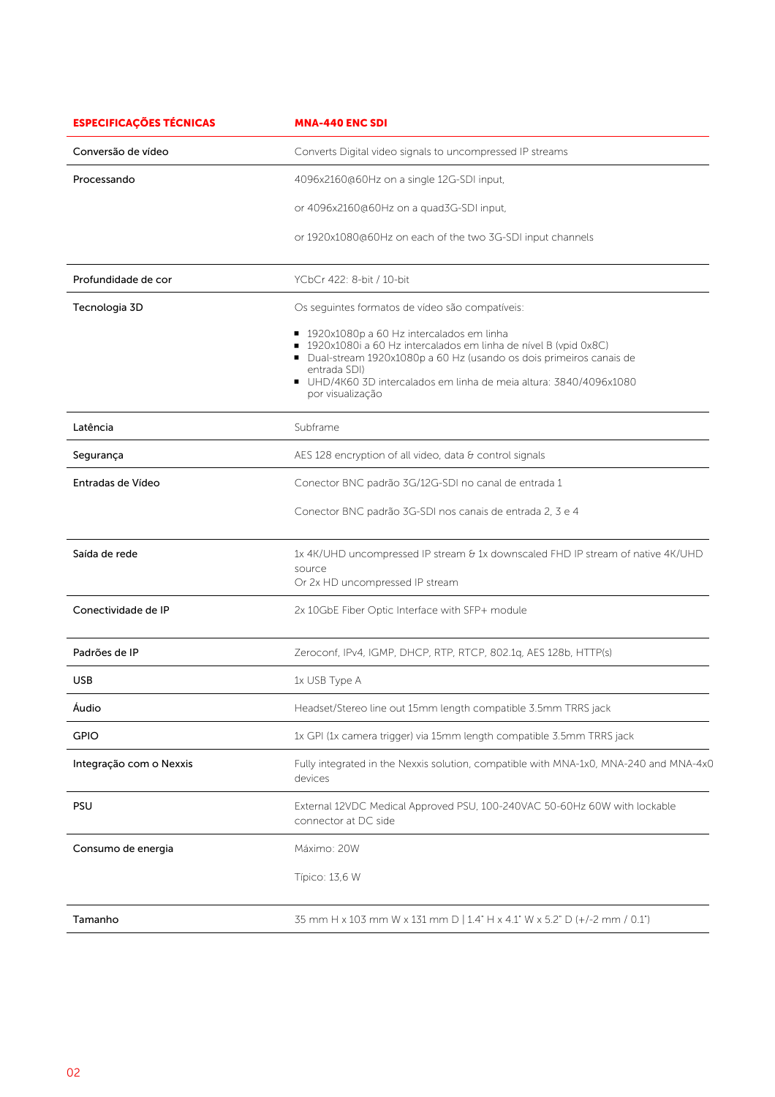| <b>ESPECIFICAÇÕES TÉCNICAS</b> | <b>MNA-440 ENC SDI</b>                                                                                                                                                                                                                                                                                       |
|--------------------------------|--------------------------------------------------------------------------------------------------------------------------------------------------------------------------------------------------------------------------------------------------------------------------------------------------------------|
| Conversão de vídeo             | Converts Digital video signals to uncompressed IP streams                                                                                                                                                                                                                                                    |
| Processando                    | 4096x2160@60Hz on a single 12G-SDI input,                                                                                                                                                                                                                                                                    |
|                                | or 4096x2160@60Hz on a quad3G-SDI input,                                                                                                                                                                                                                                                                     |
|                                | or 1920x1080@60Hz on each of the two 3G-SDI input channels                                                                                                                                                                                                                                                   |
| Profundidade de cor            | YCbCr 422: 8-bit / 10-bit                                                                                                                                                                                                                                                                                    |
| Tecnologia 3D                  | Os seguintes formatos de vídeo são compatíveis:                                                                                                                                                                                                                                                              |
|                                | ■ 1920x1080p a 60 Hz intercalados em linha<br>■ 1920x1080i a 60 Hz intercalados em linha de nível B (vpid 0x8C)<br>Dual-stream 1920x1080p a 60 Hz (usando os dois primeiros canais de<br>entrada SDI)<br>$\blacksquare$ UHD/4K60 3D intercalados em linha de meia altura: 3840/4096x1080<br>por visualização |
| Latência                       | Subframe                                                                                                                                                                                                                                                                                                     |
| Segurança                      | AES 128 encryption of all video, data $\theta$ control signals                                                                                                                                                                                                                                               |
| Entradas de Vídeo              | Conector BNC padrão 3G/12G-SDI no canal de entrada 1                                                                                                                                                                                                                                                         |
|                                | Conector BNC padrão 3G-SDI nos canais de entrada 2, 3 e 4                                                                                                                                                                                                                                                    |
| Saída de rede                  | 1x 4K/UHD uncompressed IP stream & 1x downscaled FHD IP stream of native 4K/UHD<br>source<br>Or 2x HD uncompressed IP stream                                                                                                                                                                                 |
| Conectividade de IP            | 2x 10GbE Fiber Optic Interface with SFP+ module                                                                                                                                                                                                                                                              |
| Padrões de IP                  | Zeroconf, IPv4, IGMP, DHCP, RTP, RTCP, 802.1q, AES 128b, HTTP(s)                                                                                                                                                                                                                                             |
| USB                            | 1x USB Type A                                                                                                                                                                                                                                                                                                |
| Áudio                          | Headset/Stereo line out 15mm length compatible 3.5mm TRRS jack                                                                                                                                                                                                                                               |
| <b>GPIO</b>                    | 1x GPI (1x camera trigger) via 15mm length compatible 3.5mm TRRS jack                                                                                                                                                                                                                                        |
| Integração com o Nexxis        | Fully integrated in the Nexxis solution, compatible with MNA-1x0, MNA-240 and MNA-4x0<br>devices                                                                                                                                                                                                             |
| <b>PSU</b>                     | External 12VDC Medical Approved PSU, 100-240VAC 50-60Hz 60W with lockable<br>connector at DC side                                                                                                                                                                                                            |
| Consumo de energia             | Máximo: 20W                                                                                                                                                                                                                                                                                                  |
|                                | Típico: 13,6 W                                                                                                                                                                                                                                                                                               |
| Tamanho                        | 35 mm H x 103 mm W x 131 mm D   1.4" H x 4.1" W x 5.2" D (+/-2 mm / 0.1")                                                                                                                                                                                                                                    |
|                                |                                                                                                                                                                                                                                                                                                              |